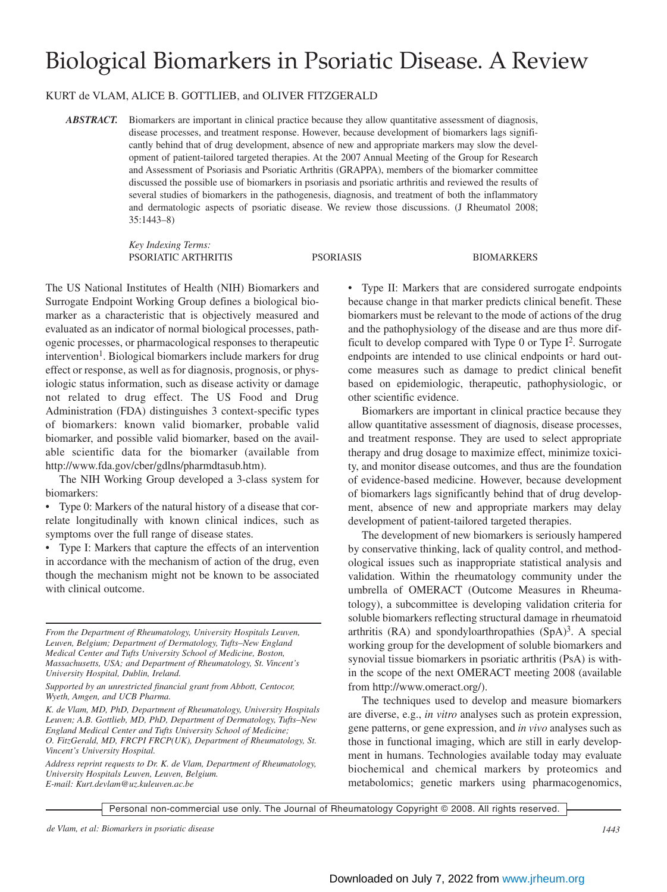# Biological Biomarkers in Psoriatic Disease. A Review

### KURT de VLAM, ALICE B. GOTTLIEB, and OLIVER FITZGERALD

*ABSTRACT.* Biomarkers are important in clinical practice because they allow quantitative assessment of diagnosis, disease processes, and treatment response. However, because development of biomarkers lags significantly behind that of drug development, absence of new and appropriate markers may slow the development of patient-tailored targeted therapies. At the 2007 Annual Meeting of the Group for Research and Assessment of Psoriasis and Psoriatic Arthritis (GRAPPA), members of the biomarker committee discussed the possible use of biomarkers in psoriasis and psoriatic arthritis and reviewed the results of several studies of biomarkers in the pathogenesis, diagnosis, and treatment of both the inflammatory and dermatologic aspects of psoriatic disease. We review those discussions. (J Rheumatol 2008; 35:1443–8)

> *Key Indexing Terms:* PSORIATIC ARTHRITIS PSORIASIS BIOMARKERS

The US National Institutes of Health (NIH) Biomarkers and Surrogate Endpoint Working Group defines a biological biomarker as a characteristic that is objectively measured and evaluated as an indicator of normal biological processes, pathogenic processes, or pharmacological responses to therapeutic  $intervention<sup>1</sup>$ . Biological biomarkers include markers for drug effect or response, as well as for diagnosis, prognosis, or physiologic status information, such as disease activity or damage not related to drug effect. The US Food and Drug Administration (FDA) distinguishes 3 context-specific types of biomarkers: known valid biomarker, probable valid biomarker, and possible valid biomarker, based on the available scientific data for the biomarker (available from http://www.fda.gov/cber/gdlns/pharmdtasub.htm).

The NIH Working Group developed a 3-class system for biomarkers:

• Type 0: Markers of the natural history of a disease that correlate longitudinally with known clinical indices, such as symptoms over the full range of disease states.

• Type I: Markers that capture the effects of an intervention in accordance with the mechanism of action of the drug, even though the mechanism might not be known to be associated with clinical outcome.

*From the Department of Rheumatology, University Hospitals Leuven, Leuven, Belgium; Department of Dermatology, Tufts–New England Medical Center and Tufts University School of Medicine, Boston, Massachusetts, USA; and Department of Rheumatology, St. Vincent's University Hospital, Dublin, Ireland.*

*Supported by an unrestricted financial grant from Abbott, Centocor, Wyeth, Amgen, and UCB Pharma.*

*K. de Vlam, MD, PhD, Department of Rheumatology, University Hospitals Leuven; A.B. Gottlieb, MD, PhD, Department of Dermatology, Tufts–New England Medical Center and Tufts University School of Medicine; O. FitzGerald, MD, FRCPI FRCP(UK), Department of Rheumatology, St. Vincent's University Hospital.*

*Address reprint requests to Dr. K. de Vlam, Department of Rheumatology, University Hospitals Leuven, Leuven, Belgium. E-mail: Kurt.devlam@uz.kuleuven.ac.be*

• Type II: Markers that are considered surrogate endpoints because change in that marker predicts clinical benefit. These biomarkers must be relevant to the mode of actions of the drug and the pathophysiology of the disease and are thus more difficult to develop compared with Type  $0$  or Type  $I^2$ . Surrogate endpoints are intended to use clinical endpoints or hard outcome measures such as damage to predict clinical benefit based on epidemiologic, therapeutic, pathophysiologic, or other scientific evidence.

Biomarkers are important in clinical practice because they allow quantitative assessment of diagnosis, disease processes, and treatment response. They are used to select appropriate therapy and drug dosage to maximize effect, minimize toxicity, and monitor disease outcomes, and thus are the foundation of evidence-based medicine. However, because development of biomarkers lags significantly behind that of drug development, absence of new and appropriate markers may delay development of patient-tailored targeted therapies.

The development of new biomarkers is seriously hampered by conservative thinking, lack of quality control, and methodological issues such as inappropriate statistical analysis and validation. Within the rheumatology community under the umbrella of OMERACT (Outcome Measures in Rheumatology), a subcommittee is developing validation criteria for soluble biomarkers reflecting structural damage in rheumatoid arthritis  $(RA)$  and spondyloarthropathies  $(SpA)^3$ . A special working group for the development of soluble biomarkers and synovial tissue biomarkers in psoriatic arthritis (PsA) is within the scope of the next OMERACT meeting 2008 (available from http://www.omeract.org/).

The techniques used to develop and measure biomarkers are diverse, e.g., *in vitro* analyses such as protein expression, gene patterns, or gene expression, and *in vivo* analyses such as those in functional imaging, which are still in early development in humans. Technologies available today may evaluate biochemical and chemical markers by proteomics and metabolomics; genetic markers using pharmacogenomics,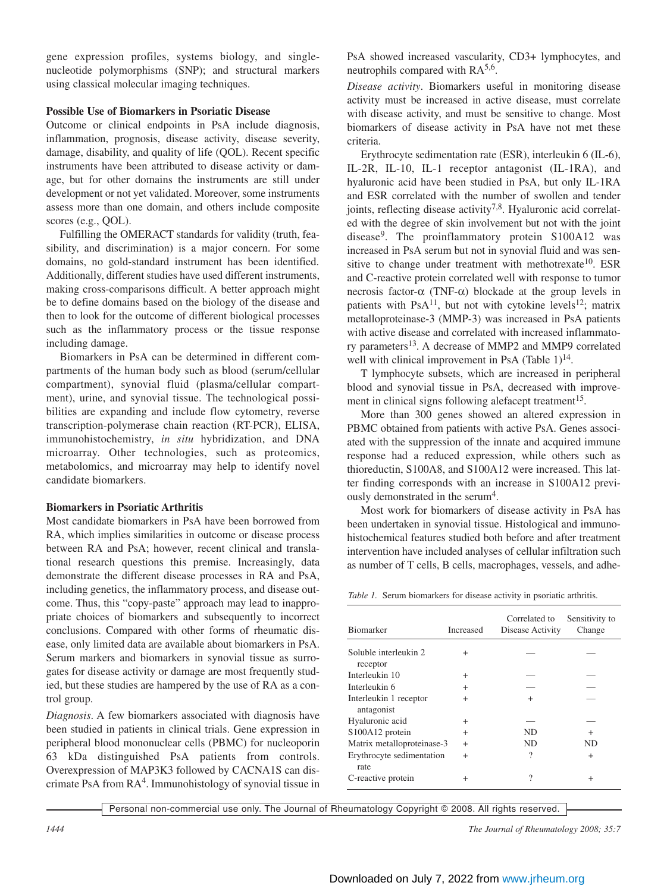gene expression profiles, systems biology, and singlenucleotide polymorphisms (SNP); and structural markers using classical molecular imaging techniques.

## **Possible Use of Biomarkers in Psoriatic Disease**

Outcome or clinical endpoints in PsA include diagnosis, inflammation, prognosis, disease activity, disease severity, damage, disability, and quality of life (QOL). Recent specific instruments have been attributed to disease activity or damage, but for other domains the instruments are still under development or not yet validated. Moreover, some instruments assess more than one domain, and others include composite scores (e.g., QOL).

Fulfilling the OMERACT standards for validity (truth, feasibility, and discrimination) is a major concern. For some domains, no gold-standard instrument has been identified. Additionally, different studies have used different instruments, making cross-comparisons difficult. A better approach might be to define domains based on the biology of the disease and then to look for the outcome of different biological processes such as the inflammatory process or the tissue response including damage.

Biomarkers in PsA can be determined in different compartments of the human body such as blood (serum/cellular compartment), synovial fluid (plasma/cellular compartment), urine, and synovial tissue. The technological possibilities are expanding and include flow cytometry, reverse transcription-polymerase chain reaction (RT-PCR), ELISA, immunohistochemistry, *in situ* hybridization, and DNA microarray. Other technologies, such as proteomics, metabolomics, and microarray may help to identify novel candidate biomarkers.

# **Biomarkers in Psoriatic Arthritis**

Most candidate biomarkers in PsA have been borrowed from RA, which implies similarities in outcome or disease process between RA and PsA; however, recent clinical and translational research questions this premise. Increasingly, data demonstrate the different disease processes in RA and PsA, including genetics, the inflammatory process, and disease outcome. Thus, this "copy-paste" approach may lead to inappropriate choices of biomarkers and subsequently to incorrect conclusions. Compared with other forms of rheumatic disease, only limited data are available about biomarkers in PsA. Serum markers and biomarkers in synovial tissue as surrogates for disease activity or damage are most frequently studied, but these studies are hampered by the use of RA as a control group.

*Diagnosis*. A few biomarkers associated with diagnosis have been studied in patients in clinical trials. Gene expression in peripheral blood mononuclear cells (PBMC) for nucleoporin 63 kDa distinguished PsA patients from controls. Overexpression of MAP3K3 followed by CACNA1S can discrimate PsA from  $RA<sup>4</sup>$ . Immunohistology of synovial tissue in PsA showed increased vascularity, CD3+ lymphocytes, and neutrophils compared with  $RA^{5,6}$ .

*Disease activity*. Biomarkers useful in monitoring disease activity must be increased in active disease, must correlate with disease activity, and must be sensitive to change. Most biomarkers of disease activity in PsA have not met these criteria.

Erythrocyte sedimentation rate (ESR), interleukin 6 (IL-6), IL-2R, IL-10, IL-1 receptor antagonist (IL-1RA), and hyaluronic acid have been studied in PsA, but only IL-1RA and ESR correlated with the number of swollen and tender joints, reflecting disease activity<sup>7,8</sup>. Hyaluronic acid correlated with the degree of skin involvement but not with the joint disease9. The proinflammatory protein S100A12 was increased in PsA serum but not in synovial fluid and was sensitive to change under treatment with methotrexate<sup>10</sup>. ESR and C-reactive protein correlated well with response to tumor necrosis factor-α (TNF-α) blockade at the group levels in patients with PsA $^{11}$ , but not with cytokine levels<sup>12</sup>; matrix metalloproteinase-3 (MMP-3) was increased in PsA patients with active disease and correlated with increased inflammatory parameters<sup>13</sup>. A decrease of MMP2 and MMP9 correlated well with clinical improvement in PsA (Table  $1$ )<sup>14</sup>.

T lymphocyte subsets, which are increased in peripheral blood and synovial tissue in PsA, decreased with improvement in clinical signs following alefacept treatment<sup>15</sup>.

More than 300 genes showed an altered expression in PBMC obtained from patients with active PsA. Genes associated with the suppression of the innate and acquired immune response had a reduced expression, while others such as thioreductin, S100A8, and S100A12 were increased. This latter finding corresponds with an increase in S100A12 previously demonstrated in the serum<sup>4</sup>.

Most work for biomarkers of disease activity in PsA has been undertaken in synovial tissue. Histological and immunohistochemical features studied both before and after treatment intervention have included analyses of cellular infiltration such as number of T cells, B cells, macrophages, vessels, and adhe-

*Table 1.* Serum biomarkers for disease activity in psoriatic arthritis.

| <b>Biomarker</b>                     | Increased | Correlated to<br>Disease Activity | Sensitivity to<br>Change |
|--------------------------------------|-----------|-----------------------------------|--------------------------|
| Soluble interleukin 2<br>receptor    | $\ddot{}$ |                                   |                          |
| Interleukin 10                       | $\ddot{}$ |                                   |                          |
| Interleukin 6                        | $^{+}$    |                                   |                          |
| Interleukin 1 receptor<br>antagonist | $^{+}$    | $\ddot{}$                         |                          |
| Hyaluronic acid                      | $\ddot{}$ |                                   |                          |
| S100A12 protein                      | $^{+}$    | ND.                               | $^+$                     |
| Matrix metalloproteinase-3           | $+$       | ND.                               | ND                       |
| Erythrocyte sedimentation<br>rate    | $^{+}$    | $\gamma$                          | $\ddot{}$                |
| C-reactive protein                   | $\ddot{}$ | 9                                 | $\ddot{}$                |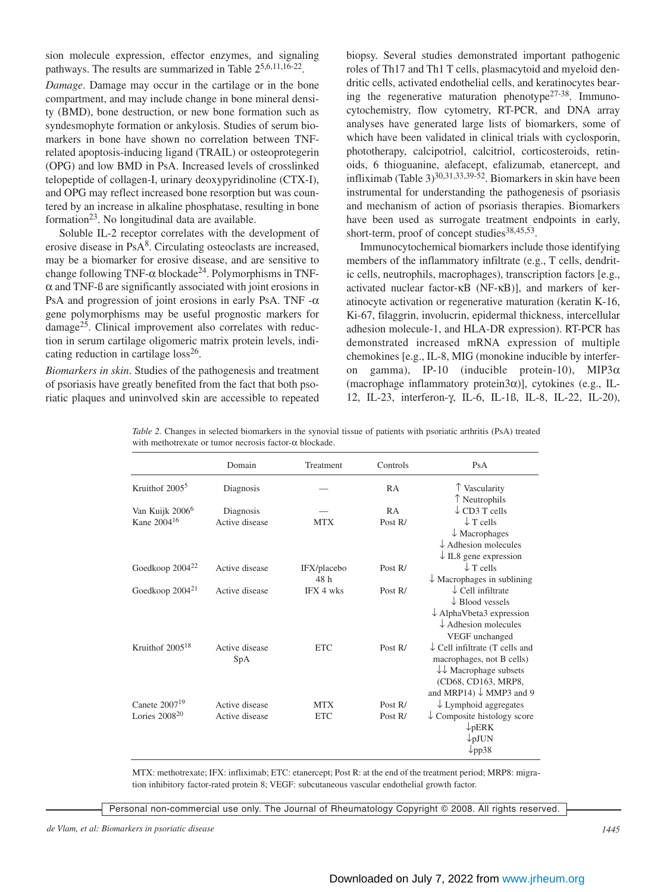sion molecule expression, effector enzymes, and signaling pathways. The results are summarized in Table 25,6,11,16-22.

*Damage*. Damage may occur in the cartilage or in the bone compartment, and may include change in bone mineral density (BMD), bone destruction, or new bone formation such as syndesmophyte formation or ankylosis. Studies of serum biomarkers in bone have shown no correlation between TNFrelated apoptosis-inducing ligand (TRAIL) or osteoprotegerin (OPG) and low BMD in PsA. Increased levels of crosslinked telopeptide of collagen-I, urinary deoxypyridinoline (CTX-I), and OPG may reflect increased bone resorption but was countered by an increase in alkaline phosphatase, resulting in bone formation $2<sup>3</sup>$ . No longitudinal data are available.

Soluble IL-2 receptor correlates with the development of erosive disease in PsA8. Circulating osteoclasts are increased, may be a biomarker for erosive disease, and are sensitive to change following TNF- $\alpha$  blockade<sup>24</sup>. Polymorphisms in TNF- $\alpha$  and TNF- $\beta$  are significantly associated with joint erosions in PsA and progression of joint erosions in early PsA. TNF  $-\alpha$ gene polymorphisms may be useful prognostic markers for damage25. Clinical improvement also correlates with reduction in serum cartilage oligomeric matrix protein levels, indicating reduction in cartilage  $loss^{26}$ .

*Biomarkers in skin*. Studies of the pathogenesis and treatment of psoriasis have greatly benefited from the fact that both psoriatic plaques and uninvolved skin are accessible to repeated biopsy. Several studies demonstrated important pathogenic roles of Th17 and Th1 T cells, plasmacytoid and myeloid dendritic cells, activated endothelial cells, and keratinocytes bearing the regenerative maturation phenotype $27-38$ . Immunocytochemistry, flow cytometry, RT-PCR, and DNA array analyses have generated large lists of biomarkers, some of which have been validated in clinical trials with cyclosporin, phototherapy, calcipotriol, calcitriol, corticosteroids, retinoids, 6 thioguanine, alefacept, efalizumab, etanercept, and infliximab (Table 3)<sup>30,31,33,39-52</sup>. Biomarkers in skin have been instrumental for understanding the pathogenesis of psoriasis and mechanism of action of psoriasis therapies. Biomarkers have been used as surrogate treatment endpoints in early, short-term, proof of concept studies<sup>38,45,53</sup>.

Immunocytochemical biomarkers include those identifying members of the inflammatory infiltrate (e.g., T cells, dendritic cells, neutrophils, macrophages), transcription factors [e.g., activated nuclear factor-κB (NF-κB)], and markers of keratinocyte activation or regenerative maturation (keratin K-16, Ki-67, filaggrin, involucrin, epidermal thickness, intercellular adhesion molecule-1, and HLA-DR expression). RT-PCR has demonstrated increased mRNA expression of multiple chemokines [e.g., IL-8, MIG (monokine inducible by interferon gamma), IP-10 (inducible protein-10), MIP3α (macrophage inflammatory protein3α)], cytokines (e.g., IL-12, IL-23, interferon-γ, IL-6, IL-1ß, IL-8, IL-22, IL-20),

| Table 2. Changes in selected biomarkers in the synovial tissue of patients with psoriatic arthritis (PsA) treated |  |  |
|-------------------------------------------------------------------------------------------------------------------|--|--|
| with methotrexate or tumor necrosis factor- $\alpha$ blockade.                                                    |  |  |

|                             | Domain         | Treatment   | Controls  | PsA                                        |
|-----------------------------|----------------|-------------|-----------|--------------------------------------------|
| Kruithof 2005 <sup>5</sup>  | Diagnosis      |             | <b>RA</b> | T Vascularity                              |
|                             |                |             |           | T Neutrophils                              |
| Van Kuijk 2006 <sup>6</sup> | Diagnosis      |             | <b>RA</b> | $\downarrow$ CD3 T cells                   |
| Kane 2004 <sup>16</sup>     | Active disease | MTX         | Post $R/$ | $\downarrow$ T cells                       |
|                             |                |             |           | $\downarrow$ Macrophages                   |
|                             |                |             |           | $\downarrow$ Adhesion molecules            |
|                             |                |             |           | $\downarrow$ IL8 gene expression           |
| Goedkoop 2004 <sup>22</sup> | Active disease | IFX/placebo | Post R/   | $\downarrow$ T cells                       |
|                             |                | 48 h        |           | $\downarrow$ Macrophages in sublining      |
| Goedkoop 2004 <sup>21</sup> | Active disease | IFX 4 wks   | Post $R/$ | $\downarrow$ Cell infiltrate               |
|                             |                |             |           | $\downarrow$ Blood vessels                 |
|                             |                |             |           | $\downarrow$ AlphaVbeta3 expression        |
|                             |                |             |           | $\downarrow$ Adhesion molecules            |
|                             |                |             |           | VEGF unchanged                             |
| Kruith of $2005^{18}$       | Active disease | <b>ETC</b>  | Post $R/$ | $\downarrow$ Cell infiltrate (T cells and  |
|                             | SpA            |             |           | macrophages, not B cells)                  |
|                             |                |             |           | $\downarrow \downarrow$ Macrophage subsets |
|                             |                |             |           | (CD68, CD163, MRP8,                        |
|                             |                |             |           | and MRP14) $\downarrow$ MMP3 and 9         |
| Canete $2007^{19}$          | Active disease | <b>MTX</b>  | Post $R/$ |                                            |
| Lories $2008^{20}$          |                |             |           | $\downarrow$ Lymphoid aggregates           |
|                             | Active disease | <b>ETC</b>  | Post $R/$ | $\downarrow$ Composite histology score     |
|                             |                |             |           | $\downarrow$ <sub>p</sub> ERK              |
|                             |                |             |           | $\n  ppJUN\n$                              |
|                             |                |             |           | $\downarrow$ pp38                          |

MTX: methotrexate; IFX: infliximab; ETC: etanercept; Post R: at the end of the treatment period; MRP8: migration inhibitory factor-rated protein 8; VEGF: subcutaneous vascular endothelial growth factor.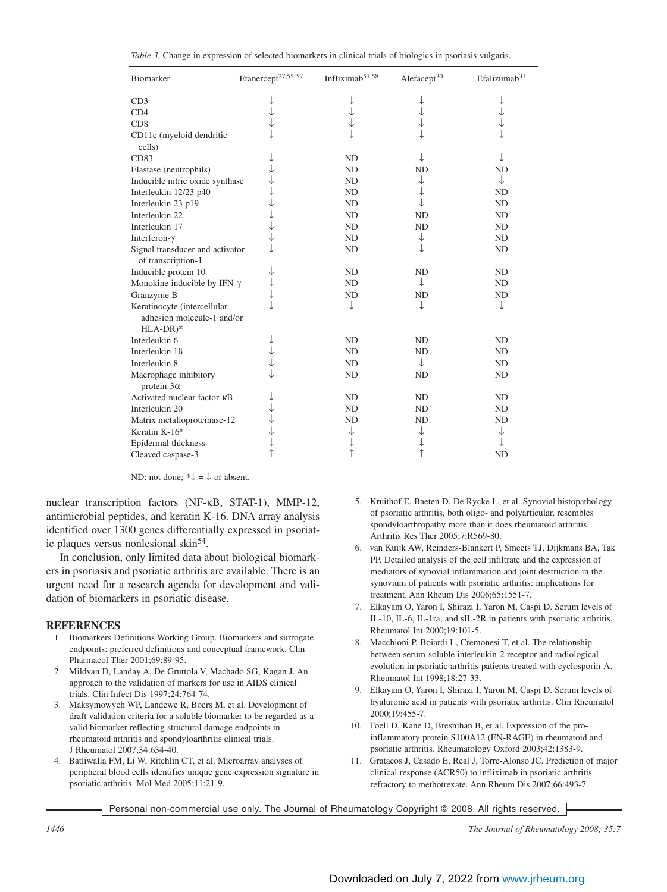|  |  |  |  | Table 3. Change in expression of selected biomarkers in clinical trials of biologics in psoriasis vulgaris. |  |  |  |  |  |  |
|--|--|--|--|-------------------------------------------------------------------------------------------------------------|--|--|--|--|--|--|
|--|--|--|--|-------------------------------------------------------------------------------------------------------------|--|--|--|--|--|--|

| Biomarker                                                               | Etanercept <sup>27,55-57</sup> | Infliximab <sup>51,58</sup> | Alefacept <sup>30</sup> | Efalizumab <sup>31</sup> |
|-------------------------------------------------------------------------|--------------------------------|-----------------------------|-------------------------|--------------------------|
| CD3                                                                     |                                |                             |                         |                          |
| CD4                                                                     |                                |                             |                         |                          |
| CD8                                                                     |                                |                             |                         |                          |
| CD11c (myeloid dendritic<br>cells)                                      |                                |                             |                         |                          |
| CD83                                                                    |                                | ND                          |                         | ↓                        |
| Elastase (neutrophils)                                                  |                                | ND                          | <b>ND</b>               | <b>ND</b>                |
| Inducible nitric oxide synthase                                         |                                | ND                          |                         | ↓                        |
| Interleukin 12/23 p40                                                   |                                | ND                          |                         | <b>ND</b>                |
| Interleukin 23 p19                                                      |                                | ND                          |                         | ND                       |
| Interleukin 22                                                          |                                | ND                          | <b>ND</b>               | ND                       |
| Interleukin 17                                                          |                                | ND                          | N <sub>D</sub>          | ND                       |
| Interferon-γ                                                            |                                | ND                          | ↓                       | ND                       |
| Signal transducer and activator<br>of transcription-1                   |                                | ND                          |                         | ND                       |
| Inducible protein 10                                                    |                                | ND                          | <b>ND</b>               | ND                       |
| Monokine inducible by IFN- $\gamma$                                     |                                | N <sub>D</sub>              | ↓                       | ND                       |
| Granzyme B                                                              |                                | ND                          | N <sub>D</sub>          | ND                       |
| Keratinocyte (intercellular<br>adhesion molecule-1 and/or<br>$HLA-DR)*$ |                                | ↓                           | ↓                       | ↓                        |
| Interleukin 6                                                           |                                | N <sub>D</sub>              | <b>ND</b>               | ND                       |
| Interleukin 1ß                                                          |                                | N <sub>D</sub>              | <b>ND</b>               | ND                       |
| Interleukin 8                                                           |                                | ND                          | ↓                       | ND                       |
| Macrophage inhibitory<br>protein- $3\alpha$                             |                                | ND                          | <b>ND</b>               | ND                       |
| Activated nuclear factor-KB                                             |                                | ND                          | <b>ND</b>               | ND                       |
| Interleukin 20                                                          |                                | ND                          | <b>ND</b>               | ND                       |
| Matrix metalloproteinase-12                                             |                                | N <sub>D</sub>              | <b>ND</b>               | <b>ND</b>                |
| Keratin K-16*                                                           |                                | ↓                           |                         | ↓                        |
| Epidermal thickness                                                     |                                | ↓                           |                         | ↓                        |
| Cleaved caspase-3                                                       |                                | ↑                           |                         | <b>ND</b>                |

ND: not done;  $*\downarrow = \downarrow$  or absent.

nuclear transcription factors (NF-κB, STAT-1), MMP-12, antimicrobial peptides, and keratin K-16. DNA array analysis identified over 1300 genes differentially expressed in psoriatic plaques versus nonlesional skin54.

In conclusion, only limited data about biological biomarkers in psoriasis and psoriatic arthritis are available. There is an urgent need for a research agenda for development and validation of biomarkers in psoriatic disease.

#### **REFERENCES**

- 1. Biomarkers Definitions Working Group. Biomarkers and surrogate endpoints: preferred definitions and conceptual framework. Clin Pharmacol Ther 2001;69:89-95.
- 2. Mildvan D, Landay A, De Gruttola V, Machado SG, Kagan J. An approach to the validation of markers for use in AIDS clinical trials. Clin Infect Dis 1997;24:764-74.
- 3. Maksymowych WP, Landewe R, Boers M, et al. Development of draft validation criteria for a soluble biomarker to be regarded as a valid biomarker reflecting structural damage endpoints in rheumatoid arthritis and spondyloarthritis clinical trials. J Rheumatol 2007;34:634-40.
- 4. Batliwalla FM, Li W, Ritchlin CT, et al. Microarray analyses of peripheral blood cells identifies unique gene expression signature in psoriatic arthritis. Mol Med 2005;11:21-9.
- 5. Kruithof E, Baeten D, De Rycke L, et al. Synovial histopathology of psoriatic arthritis, both oligo- and polyarticular, resembles spondyloarthropathy more than it does rheumatoid arthritis. Arthritis Res Ther 2005;7:R569-80.
- 6. van Kuijk AW, Reinders-Blankert P, Smeets TJ, Dijkmans BA, Tak PP. Detailed analysis of the cell infiltrate and the expression of mediators of synovial inflammation and joint destruction in the synovium of patients with psoriatic arthritis: implications for treatment. Ann Rheum Dis 2006;65:1551-7.
- 7. Elkayam O, Yaron I, Shirazi I, Yaron M, Caspi D. Serum levels of IL-10, IL-6, IL-1ra, and sIL-2R in patients with psoriatic arthritis. Rheumatol Int 2000;19:101-5.
- 8. Macchioni P, Boiardi L, Cremonesi T, et al. The relationship between serum-soluble interleukin-2 receptor and radiological evolution in psoriatic arthritis patients treated with cyclosporin-A. Rheumatol Int 1998;18:27-33.
- 9. Elkayam O, Yaron I, Shirazi I, Yaron M, Caspi D. Serum levels of hyaluronic acid in patients with psoriatic arthritis. Clin Rheumatol 2000;19:455-7.
- 10. Foell D, Kane D, Bresnihan B, et al. Expression of the proinflammatory protein S100A12 (EN-RAGE) in rheumatoid and psoriatic arthritis. Rheumatology Oxford 2003;42:1383-9.
- 11. Gratacos J, Casado E, Real J, Torre-Alonso JC. Prediction of major clinical response (ACR50) to infliximab in psoriatic arthritis refractory to methotrexate. Ann Rheum Dis 2007;66:493-7.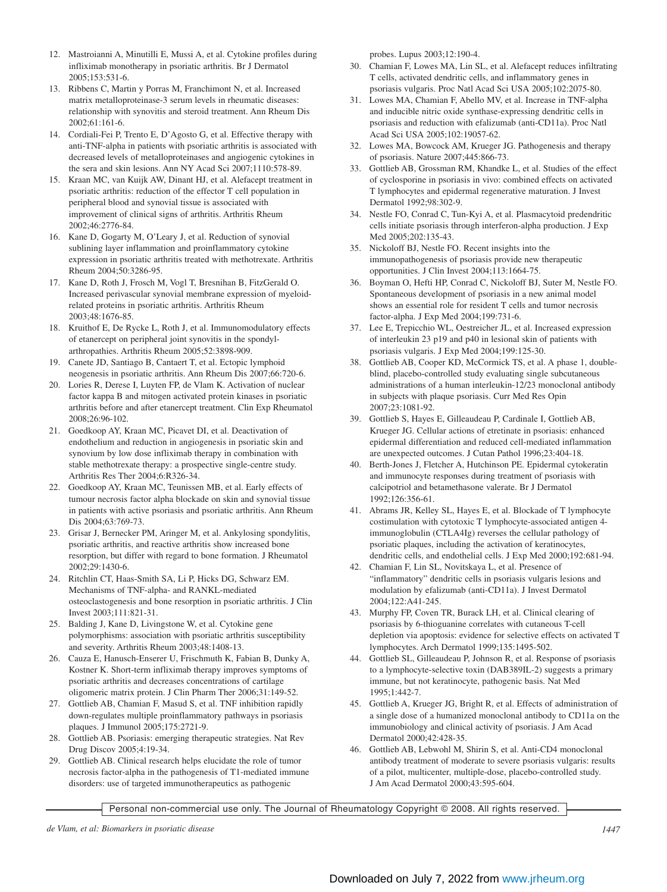- 12. Mastroianni A, Minutilli E, Mussi A, et al. Cytokine profiles during infliximab monotherapy in psoriatic arthritis. Br J Dermatol 2005;153:531-6.
- 13. Ribbens C, Martin y Porras M, Franchimont N, et al. Increased matrix metalloproteinase-3 serum levels in rheumatic diseases: relationship with synovitis and steroid treatment. Ann Rheum Dis 2002;61:161-6.
- 14. Cordiali-Fei P, Trento E, D'Agosto G, et al. Effective therapy with anti-TNF-alpha in patients with psoriatic arthritis is associated with decreased levels of metalloproteinases and angiogenic cytokines in the sera and skin lesions. Ann NY Acad Sci 2007;1110:578-89.
- 15. Kraan MC, van Kuijk AW, Dinant HJ, et al. Alefacept treatment in psoriatic arthritis: reduction of the effector T cell population in peripheral blood and synovial tissue is associated with improvement of clinical signs of arthritis. Arthritis Rheum 2002;46:2776-84.
- 16. Kane D, Gogarty M, O'Leary J, et al. Reduction of synovial sublining layer inflammation and proinflammatory cytokine expression in psoriatic arthritis treated with methotrexate. Arthritis Rheum 2004;50:3286-95.
- 17. Kane D, Roth J, Frosch M, Vogl T, Bresnihan B, FitzGerald O. Increased perivascular synovial membrane expression of myeloidrelated proteins in psoriatic arthritis. Arthritis Rheum 2003;48:1676-85.
- 18. Kruithof E, De Rycke L, Roth J, et al. Immunomodulatory effects of etanercept on peripheral joint synovitis in the spondylarthropathies. Arthritis Rheum 2005;52:3898-909.
- 19. Canete JD, Santiago B, Cantaert T, et al. Ectopic lymphoid neogenesis in psoriatic arthritis. Ann Rheum Dis 2007;66:720-6.
- 20. Lories R, Derese I, Luyten FP, de Vlam K. Activation of nuclear factor kappa B and mitogen activated protein kinases in psoriatic arthritis before and after etanercept treatment. Clin Exp Rheumatol 2008;26:96-102.
- 21. Goedkoop AY, Kraan MC, Picavet DI, et al. Deactivation of endothelium and reduction in angiogenesis in psoriatic skin and synovium by low dose infliximab therapy in combination with stable methotrexate therapy: a prospective single-centre study. Arthritis Res Ther 2004;6:R326-34.
- 22. Goedkoop AY, Kraan MC, Teunissen MB, et al. Early effects of tumour necrosis factor alpha blockade on skin and synovial tissue in patients with active psoriasis and psoriatic arthritis. Ann Rheum Dis 2004;63:769-73.
- 23. Grisar J, Bernecker PM, Aringer M, et al. Ankylosing spondylitis, psoriatic arthritis, and reactive arthritis show increased bone resorption, but differ with regard to bone formation. J Rheumatol 2002;29:1430-6.
- 24. Ritchlin CT, Haas-Smith SA, Li P, Hicks DG, Schwarz EM. Mechanisms of TNF-alpha- and RANKL-mediated osteoclastogenesis and bone resorption in psoriatic arthritis. J Clin Invest 2003;111:821-31.
- 25. Balding J, Kane D, Livingstone W, et al. Cytokine gene polymorphisms: association with psoriatic arthritis susceptibility and severity. Arthritis Rheum 2003;48:1408-13.
- 26. Cauza E, Hanusch-Enserer U, Frischmuth K, Fabian B, Dunky A, Kostner K. Short-term infliximab therapy improves symptoms of psoriatic arthritis and decreases concentrations of cartilage oligomeric matrix protein. J Clin Pharm Ther 2006;31:149-52.
- 27. Gottlieb AB, Chamian F, Masud S, et al. TNF inhibition rapidly down-regulates multiple proinflammatory pathways in psoriasis plaques. J Immunol 2005;175:2721-9.
- 28. Gottlieb AB. Psoriasis: emerging therapeutic strategies. Nat Rev Drug Discov 2005;4:19-34.
- 29. Gottlieb AB. Clinical research helps elucidate the role of tumor necrosis factor-alpha in the pathogenesis of T1-mediated immune disorders: use of targeted immunotherapeutics as pathogenic

probes. Lupus 2003;12:190-4.

- 30. Chamian F, Lowes MA, Lin SL, et al. Alefacept reduces infiltrating T cells, activated dendritic cells, and inflammatory genes in psoriasis vulgaris. Proc Natl Acad Sci USA 2005;102:2075-80.
- 31. Lowes MA, Chamian F, Abello MV, et al. Increase in TNF-alpha and inducible nitric oxide synthase-expressing dendritic cells in psoriasis and reduction with efalizumab (anti-CD11a). Proc Natl Acad Sci USA 2005;102:19057-62.
- 32. Lowes MA, Bowcock AM, Krueger JG. Pathogenesis and therapy of psoriasis. Nature 2007;445:866-73.
- 33. Gottlieb AB, Grossman RM, Khandke L, et al. Studies of the effect of cyclosporine in psoriasis in vivo: combined effects on activated T lymphocytes and epidermal regenerative maturation. J Invest Dermatol 1992;98:302-9.
- 34. Nestle FO, Conrad C, Tun-Kyi A, et al. Plasmacytoid predendritic cells initiate psoriasis through interferon-alpha production. J Exp Med 2005;202:135-43.
- 35. Nickoloff BJ, Nestle FO. Recent insights into the immunopathogenesis of psoriasis provide new therapeutic opportunities. J Clin Invest 2004;113:1664-75.
- 36. Boyman O, Hefti HP, Conrad C, Nickoloff BJ, Suter M, Nestle FO. Spontaneous development of psoriasis in a new animal model shows an essential role for resident T cells and tumor necrosis factor-alpha. J Exp Med 2004;199:731-6.
- 37. Lee E, Trepicchio WL, Oestreicher JL, et al. Increased expression of interleukin 23 p19 and p40 in lesional skin of patients with psoriasis vulgaris. J Exp Med 2004;199:125-30.
- 38. Gottlieb AB, Cooper KD, McCormick TS, et al. A phase 1, doubleblind, placebo-controlled study evaluating single subcutaneous administrations of a human interleukin-12/23 monoclonal antibody in subjects with plaque psoriasis. Curr Med Res Opin 2007;23:1081-92.
- 39. Gottlieb S, Hayes E, Gilleaudeau P, Cardinale I, Gottlieb AB, Krueger JG. Cellular actions of etretinate in psoriasis: enhanced epidermal differentiation and reduced cell-mediated inflammation are unexpected outcomes. J Cutan Pathol 1996;23:404-18.
- 40. Berth-Jones J, Fletcher A, Hutchinson PE. Epidermal cytokeratin and immunocyte responses during treatment of psoriasis with calcipotriol and betamethasone valerate. Br J Dermatol 1992;126:356-61.
- 41. Abrams JR, Kelley SL, Hayes E, et al. Blockade of T lymphocyte costimulation with cytotoxic T lymphocyte-associated antigen 4 immunoglobulin (CTLA4Ig) reverses the cellular pathology of psoriatic plaques, including the activation of keratinocytes, dendritic cells, and endothelial cells. J Exp Med 2000;192:681-94.
- 42. Chamian F, Lin SL, Novitskaya L, et al. Presence of "inflammatory" dendritic cells in psoriasis vulgaris lesions and modulation by efalizumab (anti-CD11a). J Invest Dermatol 2004;122:A41-245.
- 43. Murphy FP, Coven TR, Burack LH, et al. Clinical clearing of psoriasis by 6-thioguanine correlates with cutaneous T-cell depletion via apoptosis: evidence for selective effects on activated T lymphocytes. Arch Dermatol 1999;135:1495-502.
- 44. Gottlieb SL, Gilleaudeau P, Johnson R, et al. Response of psoriasis to a lymphocyte-selective toxin (DAB389IL-2) suggests a primary immune, but not keratinocyte, pathogenic basis. Nat Med 1995;1:442-7.
- 45. Gottlieb A, Krueger JG, Bright R, et al. Effects of administration of a single dose of a humanized monoclonal antibody to CD11a on the immunobiology and clinical activity of psoriasis. J Am Acad Dermatol 2000;42:428-35.
- 46. Gottlieb AB, Lebwohl M, Shirin S, et al. Anti-CD4 monoclonal antibody treatment of moderate to severe psoriasis vulgaris: results of a pilot, multicenter, multiple-dose, placebo-controlled study. J Am Acad Dermatol 2000;43:595-604.